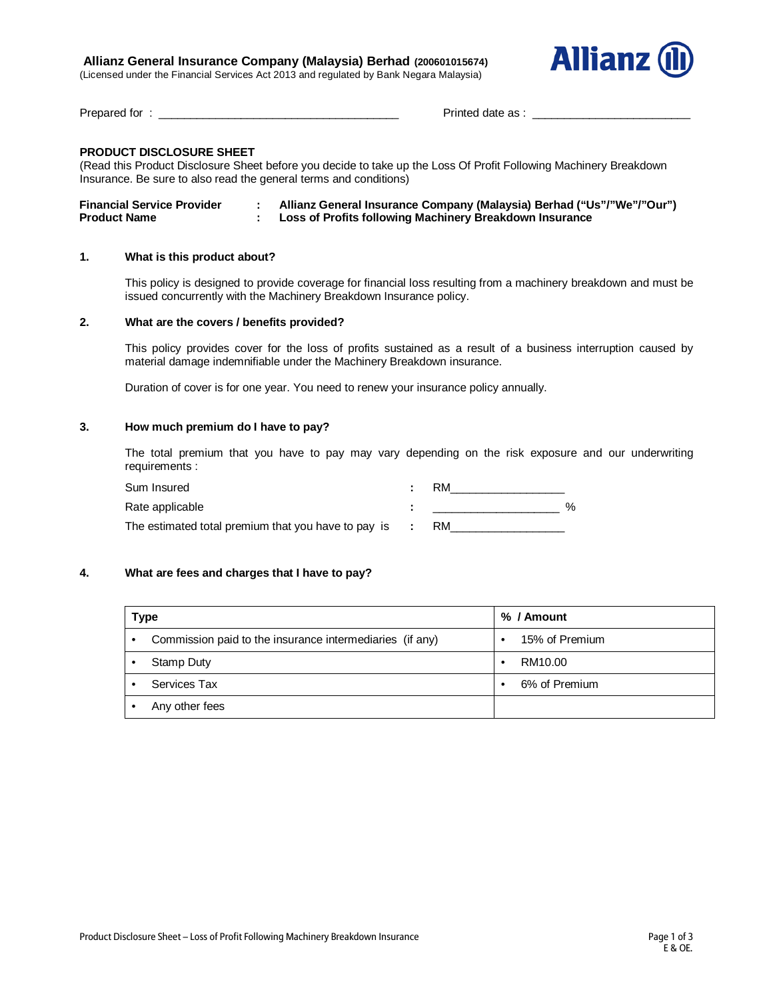# **Allianz General Insurance Company (Malaysia) Berhad (200601015674)**

(Licensed under the Financial Services Act 2013 and regulated by Bank Negara Malaysia)



Prepared for : \_\_\_\_\_\_\_\_\_\_\_\_\_\_\_\_\_\_\_\_\_\_\_\_\_\_\_\_\_\_\_\_\_\_\_\_\_\_ Printed date as : \_\_\_\_\_\_\_\_\_\_\_\_\_\_\_\_\_\_\_\_\_\_\_\_\_

# **PRODUCT DISCLOSURE SHEET**

(Read this Product Disclosure Sheet before you decide to take up the Loss Of Profit Following Machinery Breakdown Insurance. Be sure to also read the general terms and conditions)

| <b>Financial Service Provider</b> | Allianz General Insurance Company (Malaysia) Berhad ("Us"/"We"/"Our") |
|-----------------------------------|-----------------------------------------------------------------------|
| <b>Product Name</b>               | Loss of Profits following Machinery Breakdown Insurance               |

# **1. What is this product about?**

This policy is designed to provide coverage for financial loss resulting from a machinery breakdown and must be issued concurrently with the Machinery Breakdown Insurance policy.

# **2. What are the covers / benefits provided?**

This policy provides cover for the loss of profits sustained as a result of a business interruption caused by material damage indemnifiable under the Machinery Breakdown insurance.

Duration of cover is for one year. You need to renew your insurance policy annually.

# **3. How much premium do I have to pay?**

The total premium that you have to pay may vary depending on the risk exposure and our underwriting requirements :

| Sum Insured                                         | RM |   |
|-----------------------------------------------------|----|---|
| Rate applicable                                     |    | % |
| The estimated total premium that you have to pay is |    |   |

### **4. What are fees and charges that I have to pay?**

| Type                                                          | % / Amount     |  |  |
|---------------------------------------------------------------|----------------|--|--|
| Commission paid to the insurance intermediaries (if any)<br>٠ | 15% of Premium |  |  |
| Stamp Duty                                                    | RM10.00        |  |  |
| Services Tax                                                  | 6% of Premium  |  |  |
| Any other fees                                                |                |  |  |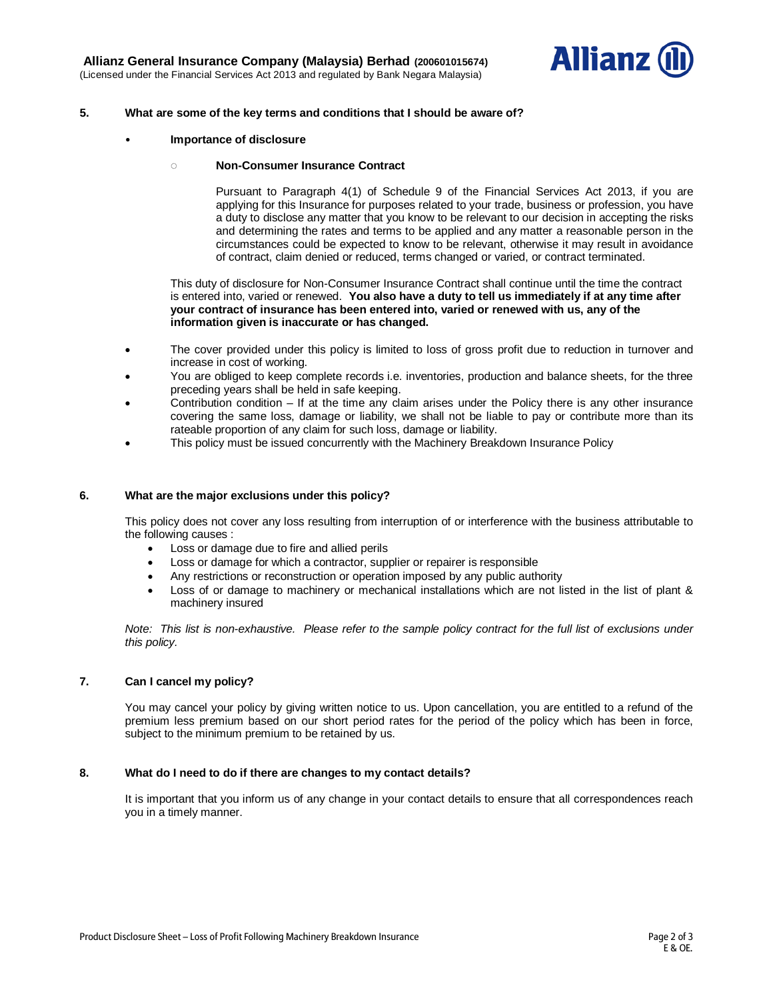

### **5. What are some of the key terms and conditions that I should be aware of?**

• **Importance of disclosure** 

#### **◌ Non-Consumer Insurance Contract**

Pursuant to Paragraph 4(1) of Schedule 9 of the Financial Services Act 2013, if you are applying for this Insurance for purposes related to your trade, business or profession, you have a duty to disclose any matter that you know to be relevant to our decision in accepting the risks and determining the rates and terms to be applied and any matter a reasonable person in the circumstances could be expected to know to be relevant, otherwise it may result in avoidance of contract, claim denied or reduced, terms changed or varied, or contract terminated.

This duty of disclosure for Non-Consumer Insurance Contract shall continue until the time the contract is entered into, varied or renewed. **You also have a duty to tell us immediately if at any time after your contract of insurance has been entered into, varied or renewed with us, any of the information given is inaccurate or has changed.**

- The cover provided under this policy is limited to loss of gross profit due to reduction in turnover and increase in cost of working.
- You are obliged to keep complete records i.e. inventories, production and balance sheets, for the three preceding years shall be held in safe keeping.
- Contribution condition  $-$  If at the time any claim arises under the Policy there is any other insurance covering the same loss, damage or liability, we shall not be liable to pay or contribute more than its rateable proportion of any claim for such loss, damage or liability.
- This policy must be issued concurrently with the Machinery Breakdown Insurance Policy

#### **6. What are the major exclusions under this policy?**

This policy does not cover any loss resulting from interruption of or interference with the business attributable to the following causes :

- Loss or damage due to fire and allied perils
- Loss or damage for which a contractor, supplier or repairer is responsible
- Any restrictions or reconstruction or operation imposed by any public authority
- Loss of or damage to machinery or mechanical installations which are not listed in the list of plant & machinery insured

*Note:* This list is non-exhaustive. Please refer to the sample policy contract for the full list of exclusions under *this policy.*

### **7. Can I cancel my policy?**

You may cancel your policy by giving written notice to us. Upon cancellation, you are entitled to a refund of the premium less premium based on our short period rates for the period of the policy which has been in force, subject to the minimum premium to be retained by us.

#### **8. What do I need to do if there are changes to my contact details?**

It is important that you inform us of any change in your contact details to ensure that all correspondences reach you in a timely manner.